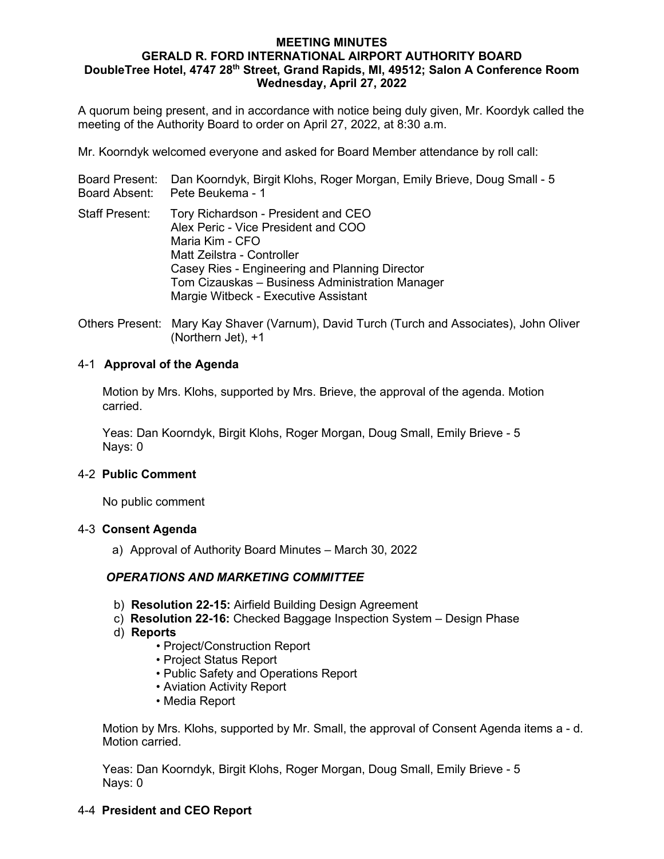#### **MEETING MINUTES GERALD R. FORD INTERNATIONAL AIRPORT AUTHORITY BOARD DoubleTree Hotel, 4747 28th Street, Grand Rapids, MI, 49512; Salon A Conference Room Wednesday, April 27, 2022**

A quorum being present, and in accordance with notice being duly given, Mr. Koordyk called the meeting of the Authority Board to order on April 27, 2022, at 8:30 a.m.

Mr. Koorndyk welcomed everyone and asked for Board Member attendance by roll call:

|                       | Board Present: Dan Koorndyk, Birgit Klohs, Roger Morgan, Emily Brieve, Doug Small - 5<br>Board Absent: Pete Beukema - 1                                                                                                                                                  |
|-----------------------|--------------------------------------------------------------------------------------------------------------------------------------------------------------------------------------------------------------------------------------------------------------------------|
| <b>Staff Present:</b> | Tory Richardson - President and CEO<br>Alex Peric - Vice President and COO<br>Maria Kim - CFO<br>Matt Zeilstra - Controller<br>Casey Ries - Engineering and Planning Director<br>Tom Cizauskas - Business Administration Manager<br>Margie Witbeck - Executive Assistant |

Others Present:Mary Kay Shaver (Varnum), David Turch (Turch and Associates), John Oliver (Northern Jet), +1

## 4-1 **Approval of the Agenda**

Motion by Mrs. Klohs, supported by Mrs. Brieve, the approval of the agenda. Motion carried.

Yeas: Dan Koorndyk, Birgit Klohs, Roger Morgan, Doug Small, Emily Brieve - 5 Nays: 0

## 4-2 **Public Comment**

No public comment

## 4-3 **Consent Agenda**

a) Approval of Authority Board Minutes – March 30, 2022

## *OPERATIONS AND MARKETING COMMITTEE*

- b) **Resolution 22-15:** Airfield Building Design Agreement
- c) **Resolution 22-16:** Checked Baggage Inspection System Design Phase
- d) **Reports**
	- Project/Construction Report
	- Project Status Report
	- Public Safety and Operations Report
	- Aviation Activity Report
	- Media Report

Motion by Mrs. Klohs, supported by Mr. Small, the approval of Consent Agenda items a - d. Motion carried.

Yeas: Dan Koorndyk, Birgit Klohs, Roger Morgan, Doug Small, Emily Brieve - 5 Nays: 0

## 4-4 **President and CEO Report**